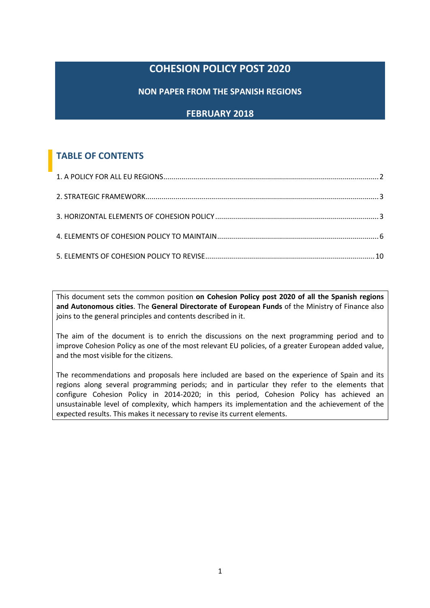# **COHESION POLICY POST 2020**

**NON PAPER FROM THE SPANISH REGIONS**

## **FEBRUARY 2018**

# **TABLE OF CONTENTS**

This document sets the common position **on Cohesion Policy post 2020 of all the Spanish regions and Autonomous cities**. The **General Directorate of European Funds** of the Ministry of Finance also joins to the general principles and contents described in it.

The aim of the document is to enrich the discussions on the next programming period and to improve Cohesion Policy as one of the most relevant EU policies, of a greater European added value, and the most visible for the citizens.

The recommendations and proposals here included are based on the experience of Spain and its regions along several programming periods; and in particular they refer to the elements that configure Cohesion Policy in 2014-2020; in this period, Cohesion Policy has achieved an unsustainable level of complexity, which hampers its implementation and the achievement of the expected results. This makes it necessary to revise its current elements.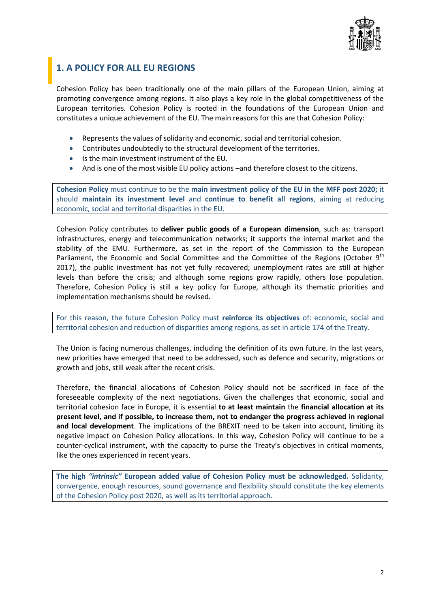

# <span id="page-1-0"></span>**1. A POLICY FOR ALL EU REGIONS**

Cohesion Policy has been traditionally one of the main pillars of the European Union, aiming at promoting convergence among regions. It also plays a key role in the global competitiveness of the European territories. Cohesion Policy is rooted in the foundations of the European Union and constitutes a unique achievement of the EU. The main reasons for this are that Cohesion Policy:

- Represents the values of solidarity and economic, social and territorial cohesion.
- Contributes undoubtedly to the structural development of the territories.
- Is the main investment instrument of the EU.
- And is one of the most visible EU policy actions –and therefore closest to the citizens.

**Cohesion Policy** must continue to be the **main investment policy of the EU in the MFF post 2020;** it should **maintain its investment level** and **continue to benefit all regions**, aiming at reducing economic, social and territorial disparities in the EU.

Cohesion Policy contributes to **deliver public goods of a European dimension**, such as: transport infrastructures, energy and telecommunication networks; it supports the internal market and the stability of the EMU. Furthermore, as set in the report of the Commission to the European Parliament, the Economic and Social Committee and the Committee of the Regions (October 9<sup>th</sup> 2017), the public investment has not yet fully recovered; unemployment rates are still at higher levels than before the crisis; and although some regions grow rapidly, others lose population. Therefore, Cohesion Policy is still a key policy for Europe, although its thematic priorities and implementation mechanisms should be revised.

For this reason, the future Cohesion Policy must **reinforce its objectives** of: economic, social and territorial cohesion and reduction of disparities among regions, as set in article 174 of the Treaty.

The Union is facing numerous challenges, including the definition of its own future. In the last years, new priorities have emerged that need to be addressed, such as defence and security, migrations or growth and jobs, still weak after the recent crisis.

Therefore, the financial allocations of Cohesion Policy should not be sacrificed in face of the foreseeable complexity of the next negotiations. Given the challenges that economic, social and territorial cohesion face in Europe, it is essential **to at least maintain** the **financial allocation at its present level, and if possible, to increase them, not to endanger the progress achieved in regional and local development**. The implications of the BREXIT need to be taken into account, limiting its negative impact on Cohesion Policy allocations. In this way, Cohesion Policy will continue to be a counter-cyclical instrument, with the capacity to purse the Treaty's objectives in critical moments, like the ones experienced in recent years.

**The high** *"intrinsic"* **European added value of Cohesion Policy must be acknowledged.** Solidarity, convergence, enough resources, sound governance and flexibility should constitute the key elements of the Cohesion Policy post 2020, as well as its territorial approach.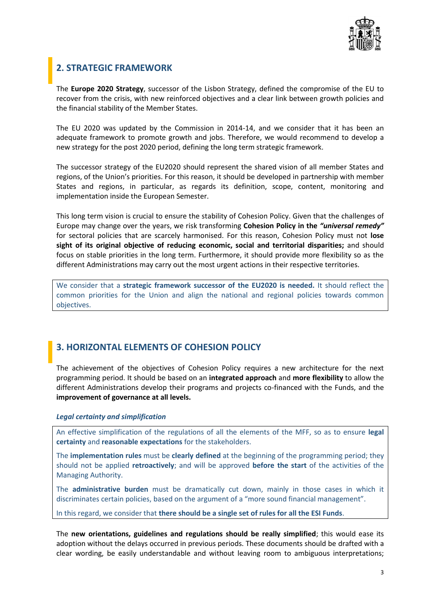

## <span id="page-2-0"></span>**2. STRATEGIC FRAMEWORK**

The **Europe 2020 Strategy**, successor of the Lisbon Strategy, defined the compromise of the EU to recover from the crisis, with new reinforced objectives and a clear link between growth policies and the financial stability of the Member States.

The EU 2020 was updated by the Commission in 2014-14, and we consider that it has been an adequate framework to promote growth and jobs. Therefore, we would recommend to develop a new strategy for the post 2020 period, defining the long term strategic framework.

The successor strategy of the EU2020 should represent the shared vision of all member States and regions, of the Union's priorities. For this reason, it should be developed in partnership with member States and regions, in particular, as regards its definition, scope, content, monitoring and implementation inside the European Semester.

This long term vision is crucial to ensure the stability of Cohesion Policy. Given that the challenges of Europe may change over the years, we risk transforming **Cohesion Policy in the** *"universal remedy"* for sectoral policies that are scarcely harmonised. For this reason, Cohesion Policy must not **lose sight of its original objective of reducing economic, social and territorial disparities;** and should focus on stable priorities in the long term. Furthermore, it should provide more flexibility so as the different Administrations may carry out the most urgent actions in their respective territories.

We consider that a **strategic framework successor of the EU2020 is needed.** It should reflect the common priorities for the Union and align the national and regional policies towards common objectives.

## <span id="page-2-1"></span>**3. HORIZONTAL ELEMENTS OF COHESION POLICY**

The achievement of the objectives of Cohesion Policy requires a new architecture for the next programming period. It should be based on an **integrated approach** and **more flexibility** to allow the different Administrations develop their programs and projects co-financed with the Funds, and the **improvement of governance at all levels.**

#### *Legal certainty and simplification*

An effective simplification of the regulations of all the elements of the MFF, so as to ensure **legal certainty** and **reasonable expectations** for the stakeholders.

The **implementation rules** must be **clearly defined** at the beginning of the programming period; they should not be applied **retroactively**; and will be approved **before the start** of the activities of the Managing Authority.

The **administrative burden** must be dramatically cut down, mainly in those cases in which it discriminates certain policies, based on the argument of a "more sound financial management".

In this regard, we consider that **there should be a single set of rules for all the ESI Funds**.

The **new orientations, guidelines and regulations should be really simplified**; this would ease its adoption without the delays occurred in previous periods. These documents should be drafted with a clear wording, be easily understandable and without leaving room to ambiguous interpretations;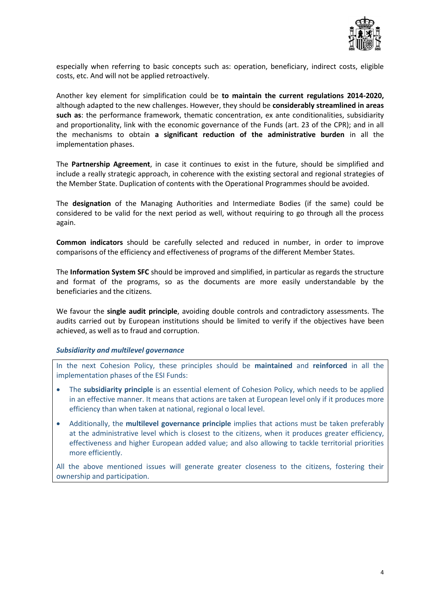

especially when referring to basic concepts such as: operation, beneficiary, indirect costs, eligible costs, etc. And will not be applied retroactively.

Another key element for simplification could be **to maintain the current regulations 2014-2020,** although adapted to the new challenges. However, they should be **considerably streamlined in areas such as**: the performance framework, thematic concentration, ex ante conditionalities, subsidiarity and proportionality, link with the economic governance of the Funds (art. 23 of the CPR); and in all the mechanisms to obtain **a significant reduction of the administrative burden** in all the implementation phases.

The **Partnership Agreement**, in case it continues to exist in the future, should be simplified and include a really strategic approach, in coherence with the existing sectoral and regional strategies of the Member State. Duplication of contents with the Operational Programmes should be avoided.

The **designation** of the Managing Authorities and Intermediate Bodies (if the same) could be considered to be valid for the next period as well, without requiring to go through all the process again.

**Common indicators** should be carefully selected and reduced in number, in order to improve comparisons of the efficiency and effectiveness of programs of the different Member States.

The **Information System SFC** should be improved and simplified, in particular as regards the structure and format of the programs, so as the documents are more easily understandable by the beneficiaries and the citizens.

We favour the **single audit principle**, avoiding double controls and contradictory assessments. The audits carried out by European institutions should be limited to verify if the objectives have been achieved, as well as to fraud and corruption.

#### *Subsidiarity and multilevel governance*

In the next Cohesion Policy, these principles should be **maintained** and **reinforced** in all the implementation phases of the ESI Funds:

- The **subsidiarity principle** is an essential element of Cohesion Policy, which needs to be applied in an effective manner. It means that actions are taken at European level only if it produces more efficiency than when taken at national, regional o local level.
- Additionally, the **multilevel governance principle** implies that actions must be taken preferably at the administrative level which is closest to the citizens, when it produces greater efficiency, effectiveness and higher European added value; and also allowing to tackle territorial priorities more efficiently.

All the above mentioned issues will generate greater closeness to the citizens, fostering their ownership and participation.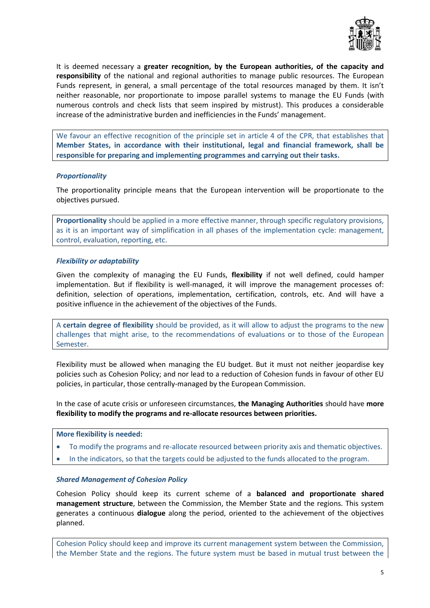

It is deemed necessary a **greater recognition, by the European authorities, of the capacity and responsibility** of the national and regional authorities to manage public resources. The European Funds represent, in general, a small percentage of the total resources managed by them. It isn't neither reasonable, nor proportionate to impose parallel systems to manage the EU Funds (with numerous controls and check lists that seem inspired by mistrust). This produces a considerable increase of the administrative burden and inefficiencies in the Funds' management.

We favour an effective recognition of the principle set in article 4 of the CPR, that establishes that **Member States, in accordance with their institutional, legal and financial framework, shall be responsible for preparing and implementing programmes and carrying out their tasks.**

#### *Proportionality*

The proportionality principle means that the European intervention will be proportionate to the objectives pursued.

**Proportionality** should be applied in a more effective manner, through specific regulatory provisions, as it is an important way of simplification in all phases of the implementation cycle: management, control, evaluation, reporting, etc.

#### *Flexibility or adaptability*

Given the complexity of managing the EU Funds, **flexibility** if not well defined, could hamper implementation. But if flexibility is well-managed, it will improve the management processes of: definition, selection of operations, implementation, certification, controls, etc. And will have a positive influence in the achievement of the objectives of the Funds.

A **certain degree of flexibility** should be provided, as it will allow to adjust the programs to the new challenges that might arise, to the recommendations of evaluations or to those of the European Semester.

Flexibility must be allowed when managing the EU budget. But it must not neither jeopardise key policies such as Cohesion Policy; and nor lead to a reduction of Cohesion funds in favour of other EU policies, in particular, those centrally-managed by the European Commission.

In the case of acute crisis or unforeseen circumstances, **the Managing Authorities** should have **more flexibility to modify the programs and re-allocate resources between priorities.**

#### **More flexibility is needed:**

- To modify the programs and re-allocate resourced between priority axis and thematic objectives.
- In the indicators, so that the targets could be adjusted to the funds allocated to the program.

#### *Shared Management of Cohesion Policy*

Cohesion Policy should keep its current scheme of a **balanced and proportionate shared management structure**, between the Commission, the Member State and the regions. This system generates a continuous **dialogue** along the period, oriented to the achievement of the objectives planned.

Cohesion Policy should keep and improve its current management system between the Commission, the Member State and the regions. The future system must be based in mutual trust between the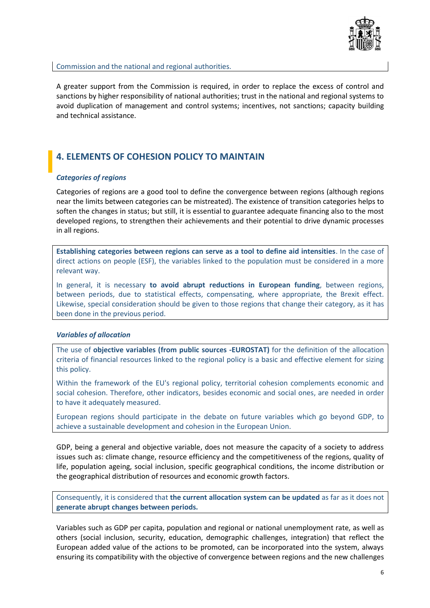

Commission and the national and regional authorities.

A greater support from the Commission is required, in order to replace the excess of control and sanctions by higher responsibility of national authorities; trust in the national and regional systems to avoid duplication of management and control systems; incentives, not sanctions; capacity building and technical assistance.

## <span id="page-5-0"></span>**4. ELEMENTS OF COHESION POLICY TO MAINTAIN**

### *Categories of regions*

Categories of regions are a good tool to define the convergence between regions (although regions near the limits between categories can be mistreated). The existence of transition categories helps to soften the changes in status; but still, it is essential to guarantee adequate financing also to the most developed regions, to strengthen their achievements and their potential to drive dynamic processes in all regions.

**Establishing categories between regions can serve as a tool to define aid intensities**. In the case of direct actions on people (ESF), the variables linked to the population must be considered in a more relevant way.

In general, it is necessary **to avoid abrupt reductions in European funding**, between regions, between periods, due to statistical effects, compensating, where appropriate, the Brexit effect. Likewise, special consideration should be given to those regions that change their category, as it has been done in the previous period.

#### *Variables of allocation*

The use of **objective variables (from public sources -EUROSTAT)** for the definition of the allocation criteria of financial resources linked to the regional policy is a basic and effective element for sizing this policy.

Within the framework of the EU's regional policy, territorial cohesion complements economic and social cohesion. Therefore, other indicators, besides economic and social ones, are needed in order to have it adequately measured.

European regions should participate in the debate on future variables which go beyond GDP, to achieve a sustainable development and cohesion in the European Union.

GDP, being a general and objective variable, does not measure the capacity of a society to address issues such as: climate change, resource efficiency and the competitiveness of the regions, quality of life, population ageing, social inclusion, specific geographical conditions, the income distribution or the geographical distribution of resources and economic growth factors.

Consequently, it is considered that **the current allocation system can be updated** as far as it does not **generate abrupt changes between periods.**

Variables such as GDP per capita, population and regional or national unemployment rate, as well as others (social inclusion, security, education, demographic challenges, integration) that reflect the European added value of the actions to be promoted, can be incorporated into the system, always ensuring its compatibility with the objective of convergence between regions and the new challenges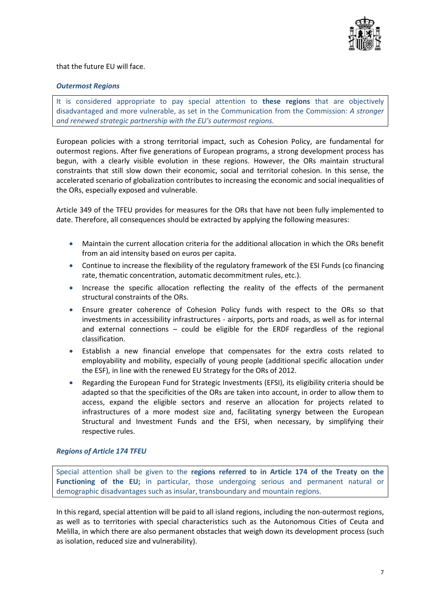

### that the future EU will face.

#### *Outermost Regions*

It is considered appropriate to pay special attention to **these regions** that are objectively disadvantaged and more vulnerable, as set in the Communication from the Commission: *A stronger and renewed strategic partnership with the EU's outermost regions.*

European policies with a strong territorial impact, such as Cohesion Policy, are fundamental for outermost regions. After five generations of European programs, a strong development process has begun, with a clearly visible evolution in these regions. However, the ORs maintain structural constraints that still slow down their economic, social and territorial cohesion. In this sense, the accelerated scenario of globalization contributes to increasing the economic and social inequalities of the ORs, especially exposed and vulnerable.

Article 349 of the TFEU provides for measures for the ORs that have not been fully implemented to date. Therefore, all consequences should be extracted by applying the following measures:

- Maintain the current allocation criteria for the additional allocation in which the ORs benefit from an aid intensity based on euros per capita.
- Continue to increase the flexibility of the regulatory framework of the ESI Funds (co financing rate, thematic concentration, automatic decommitment rules, etc.).
- Increase the specific allocation reflecting the reality of the effects of the permanent structural constraints of the ORs.
- Ensure greater coherence of Cohesion Policy funds with respect to the ORs so that investments in accessibility infrastructures - airports, ports and roads, as well as for internal and external connections – could be eligible for the ERDF regardless of the regional classification.
- Establish a new financial envelope that compensates for the extra costs related to employability and mobility, especially of young people (additional specific allocation under the ESF), in line with the renewed EU Strategy for the ORs of 2012.
- Regarding the European Fund for Strategic Investments (EFSI), its eligibility criteria should be adapted so that the specificities of the ORs are taken into account, in order to allow them to access, expand the eligible sectors and reserve an allocation for projects related to infrastructures of a more modest size and, facilitating synergy between the European Structural and Investment Funds and the EFSI, when necessary, by simplifying their respective rules.

#### *Regions of Article 174 TFEU*

Special attention shall be given to the **regions referred to in Article 174 of the Treaty on the Functioning of the EU;** in particular, those undergoing serious and permanent natural or demographic disadvantages such as insular, transboundary and mountain regions.

In this regard, special attention will be paid to all island regions, including the non-outermost regions, as well as to territories with special characteristics such as the Autonomous Cities of Ceuta and Melilla, in which there are also permanent obstacles that weigh down its development process (such as isolation, reduced size and vulnerability).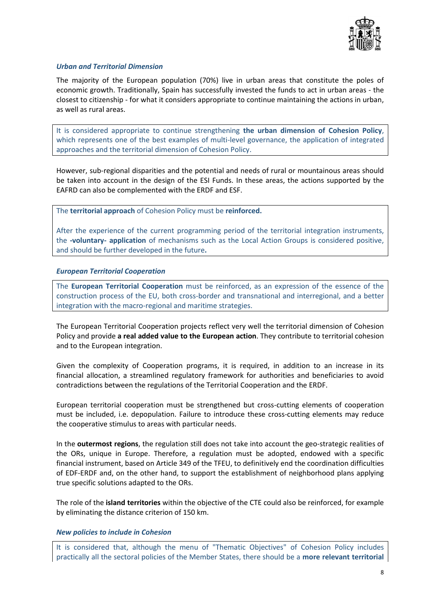

### *Urban and Territorial Dimension*

The majority of the European population (70%) live in urban areas that constitute the poles of economic growth. Traditionally, Spain has successfully invested the funds to act in urban areas - the closest to citizenship - for what it considers appropriate to continue maintaining the actions in urban, as well as rural areas.

It is considered appropriate to continue strengthening **the urban dimension of Cohesion Policy**, which represents one of the best examples of multi-level governance, the application of integrated approaches and the territorial dimension of Cohesion Policy.

However, sub-regional disparities and the potential and needs of rural or mountainous areas should be taken into account in the design of the ESI Funds. In these areas, the actions supported by the EAFRD can also be complemented with the ERDF and ESF.

The **territorial approach** of Cohesion Policy must be **reinforced.**

After the experience of the current programming period of the territorial integration instruments, the **-voluntary- application** of mechanisms such as the Local Action Groups is considered positive, and should be further developed in the future**.**

### *European Territorial Cooperation*

The **European Territorial Cooperation** must be reinforced, as an expression of the essence of the construction process of the EU, both cross-border and transnational and interregional, and a better integration with the macro-regional and maritime strategies.

The European Territorial Cooperation projects reflect very well the territorial dimension of Cohesion Policy and provide **a real added value to the European action**. They contribute to territorial cohesion and to the European integration.

Given the complexity of Cooperation programs, it is required, in addition to an increase in its financial allocation, a streamlined regulatory framework for authorities and beneficiaries to avoid contradictions between the regulations of the Territorial Cooperation and the ERDF.

European territorial cooperation must be strengthened but cross-cutting elements of cooperation must be included, i.e. depopulation. Failure to introduce these cross-cutting elements may reduce the cooperative stimulus to areas with particular needs.

In the **outermost regions**, the regulation still does not take into account the geo-strategic realities of the ORs, unique in Europe. Therefore, a regulation must be adopted, endowed with a specific financial instrument, based on Article 349 of the TFEU, to definitively end the coordination difficulties of EDF-ERDF and, on the other hand, to support the establishment of neighborhood plans applying true specific solutions adapted to the ORs.

The role of the **island territories** within the objective of the CTE could also be reinforced, for example by eliminating the distance criterion of 150 km.

## *New policies to include in Cohesion*

It is considered that, although the menu of "Thematic Objectives" of Cohesion Policy includes practically all the sectoral policies of the Member States, there should be a **more relevant territorial**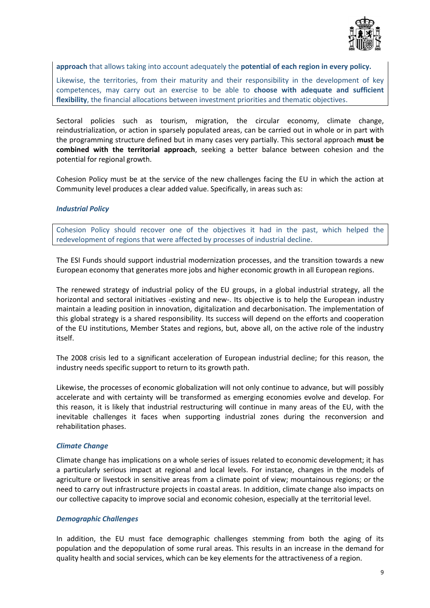

**approach** that allows taking into account adequately the **potential of each region in every policy.**

Likewise, the territories, from their maturity and their responsibility in the development of key competences, may carry out an exercise to be able to **choose with adequate and sufficient flexibility**, the financial allocations between investment priorities and thematic objectives.

Sectoral policies such as tourism, migration, the circular economy, climate change, reindustrialization, or action in sparsely populated areas, can be carried out in whole or in part with the programming structure defined but in many cases very partially. This sectoral approach **must be combined with the territorial approach**, seeking a better balance between cohesion and the potential for regional growth.

Cohesion Policy must be at the service of the new challenges facing the EU in which the action at Community level produces a clear added value. Specifically, in areas such as:

#### *Industrial Policy*

Cohesion Policy should recover one of the objectives it had in the past, which helped the redevelopment of regions that were affected by processes of industrial decline.

The ESI Funds should support industrial modernization processes, and the transition towards a new European economy that generates more jobs and higher economic growth in all European regions.

The renewed strategy of industrial policy of the EU groups, in a global industrial strategy, all the horizontal and sectoral initiatives -existing and new-. Its objective is to help the European industry maintain a leading position in innovation, digitalization and decarbonisation. The implementation of this global strategy is a shared responsibility. Its success will depend on the efforts and cooperation of the EU institutions, Member States and regions, but, above all, on the active role of the industry itself.

The 2008 crisis led to a significant acceleration of European industrial decline; for this reason, the industry needs specific support to return to its growth path.

Likewise, the processes of economic globalization will not only continue to advance, but will possibly accelerate and with certainty will be transformed as emerging economies evolve and develop. For this reason, it is likely that industrial restructuring will continue in many areas of the EU, with the inevitable challenges it faces when supporting industrial zones during the reconversion and rehabilitation phases.

#### *Climate Change*

Climate change has implications on a whole series of issues related to economic development; it has a particularly serious impact at regional and local levels. For instance, changes in the models of agriculture or livestock in sensitive areas from a climate point of view; mountainous regions; or the need to carry out infrastructure projects in coastal areas. In addition, climate change also impacts on our collective capacity to improve social and economic cohesion, especially at the territorial level.

#### *Demographic Challenges*

In addition, the EU must face demographic challenges stemming from both the aging of its population and the depopulation of some rural areas. This results in an increase in the demand for quality health and social services, which can be key elements for the attractiveness of a region.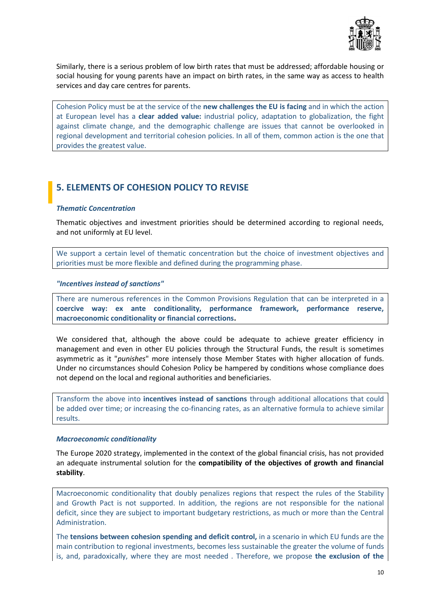

Similarly, there is a serious problem of low birth rates that must be addressed; affordable housing or social housing for young parents have an impact on birth rates, in the same way as access to health services and day care centres for parents.

Cohesion Policy must be at the service of the **new challenges the EU is facing** and in which the action at European level has a **clear added value:** industrial policy, adaptation to globalization, the fight against climate change, and the demographic challenge are issues that cannot be overlooked in regional development and territorial cohesion policies. In all of them, common action is the one that provides the greatest value.

## <span id="page-9-0"></span>**5. ELEMENTS OF COHESION POLICY TO REVISE**

### *Thematic Concentration*

Thematic objectives and investment priorities should be determined according to regional needs, and not uniformly at EU level.

We support a certain level of thematic concentration but the choice of investment objectives and priorities must be more flexible and defined during the programming phase.

#### *"Incentives instead of sanctions"*

There are numerous references in the Common Provisions Regulation that can be interpreted in a **coercive way: ex ante conditionality, performance framework, performance reserve, macroeconomic conditionality or financial corrections.**

We considered that, although the above could be adequate to achieve greater efficiency in management and even in other EU policies through the Structural Funds, the result is sometimes asymmetric as it "*punishes*" more intensely those Member States with higher allocation of funds. Under no circumstances should Cohesion Policy be hampered by conditions whose compliance does not depend on the local and regional authorities and beneficiaries.

Transform the above into **incentives instead of sanctions** through additional allocations that could be added over time; or increasing the co-financing rates, as an alternative formula to achieve similar results.

#### *Macroeconomic conditionality*

The Europe 2020 strategy, implemented in the context of the global financial crisis, has not provided an adequate instrumental solution for the **compatibility of the objectives of growth and financial stability**.

Macroeconomic conditionality that doubly penalizes regions that respect the rules of the Stability and Growth Pact is not supported. In addition, the regions are not responsible for the national deficit, since they are subject to important budgetary restrictions, as much or more than the Central Administration.

The **tensions between cohesion spending and deficit control,** in a scenario in which EU funds are the main contribution to regional investments, becomes less sustainable the greater the volume of funds is, and, paradoxically, where they are most needed . Therefore, we propose **the exclusion of the**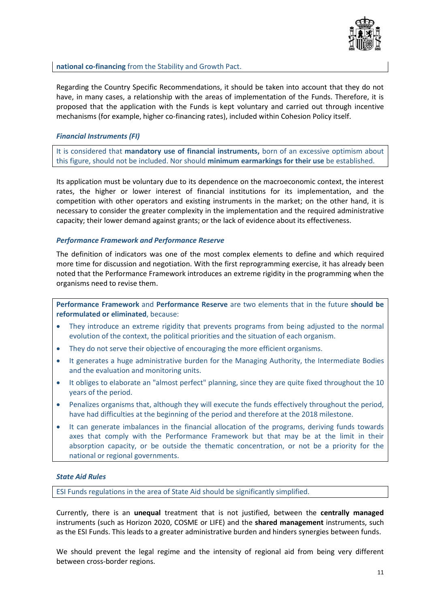

### **national co-financing** from the Stability and Growth Pact.

Regarding the Country Specific Recommendations, it should be taken into account that they do not have, in many cases, a relationship with the areas of implementation of the Funds. Therefore, it is proposed that the application with the Funds is kept voluntary and carried out through incentive mechanisms (for example, higher co-financing rates), included within Cohesion Policy itself.

### *Financial Instruments (FI)*

It is considered that **mandatory use of financial instruments,** born of an excessive optimism about this figure, should not be included. Nor should **minimum earmarkings for their use** be established.

Its application must be voluntary due to its dependence on the macroeconomic context, the interest rates, the higher or lower interest of financial institutions for its implementation, and the competition with other operators and existing instruments in the market; on the other hand, it is necessary to consider the greater complexity in the implementation and the required administrative capacity; their lower demand against grants; or the lack of evidence about its effectiveness.

#### *Performance Framework and Performance Reserve*

The definition of indicators was one of the most complex elements to define and which required more time for discussion and negotiation. With the first reprogramming exercise, it has already been noted that the Performance Framework introduces an extreme rigidity in the programming when the organisms need to revise them.

**Performance Framework** and **Performance Reserve** are two elements that in the future **should be reformulated or eliminated**, because:

- They introduce an extreme rigidity that prevents programs from being adjusted to the normal evolution of the context, the political priorities and the situation of each organism.
- They do not serve their objective of encouraging the more efficient organisms.
- It generates a huge administrative burden for the Managing Authority, the Intermediate Bodies and the evaluation and monitoring units.
- It obliges to elaborate an "almost perfect" planning, since they are quite fixed throughout the 10 years of the period.
- Penalizes organisms that, although they will execute the funds effectively throughout the period, have had difficulties at the beginning of the period and therefore at the 2018 milestone.
- It can generate imbalances in the financial allocation of the programs, deriving funds towards axes that comply with the Performance Framework but that may be at the limit in their absorption capacity, or be outside the thematic concentration, or not be a priority for the national or regional governments.

#### *State Aid Rules*

ESI Funds regulations in the area of State Aid should be significantly simplified.

Currently, there is an **unequal** treatment that is not justified, between the **centrally managed** instruments (such as Horizon 2020, COSME or LIFE) and the **shared management** instruments, such as the ESI Funds. This leads to a greater administrative burden and hinders synergies between funds.

We should prevent the legal regime and the intensity of regional aid from being very different between cross-border regions.